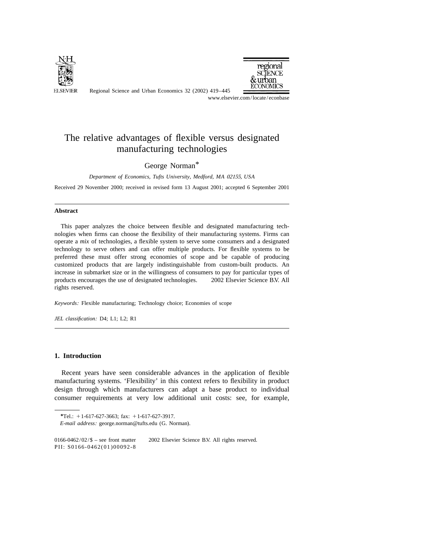

Regional Science and Urban Economics 32 (2002) 419–445



www.elsevier.com/locate/econbase

## The relative advantages of flexible versus designated manufacturing technologies

George Norman\*

*Department of Economics*, *Tufts University*, *Medford*, *MA* 02155, *USA*

Received 29 November 2000; received in revised form 13 August 2001; accepted 6 September 2001

## **Abstract**

This paper analyzes the choice between flexible and designated manufacturing technologies when firms can choose the flexibility of their manufacturing systems. Firms can operate a *mix* of technologies, a flexible system to serve some consumers and a designated technology to serve others and can offer multiple products. For flexible systems to be preferred these must offer strong economies of scope and be capable of producing customized products that are largely indistinguishable from custom-built products. An increase in submarket size or in the willingness of consumers to pay for particular types of products encourages the use of designated technologies.  $\circ$  2002 Elsevier Science B.V. All rights reserved.

*Keywords*: Flexible manufacturing; Technology choice; Economies of scope

*JEL classification*: D4; L1; L2; R1

## **1. Introduction**

Recent years have seen considerable advances in the application of flexible manufacturing systems. 'Flexibility' in this context refers to flexibility in product design through which manufacturers can adapt a base product to individual consumer requirements at very low additional unit costs: see, for example,

*<sup>\*</sup>*Tel.: 11-617-627-3663; fax: 11-617-627-3917.

*E*-*mail address*: george.norman@tufts.edu (G. Norman).

<sup>0166-0462/02/</sup> $\$  – see front matter  $\)$  2002 Elsevier Science B.V. All rights reserved. PII: S0166-0462(01)00092-8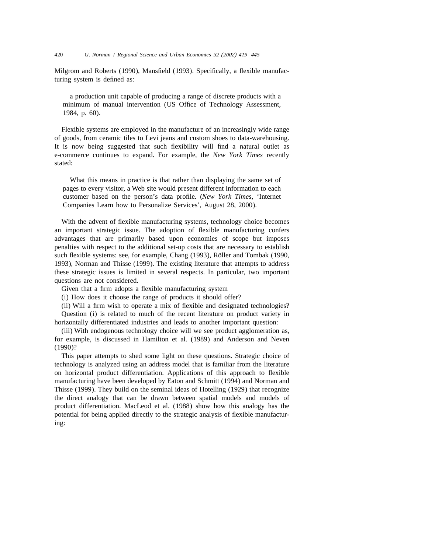Milgrom and Roberts (1990), Mansfield (1993). Specifically, a flexible manufacturing system is defined as:

a production unit capable of producing a range of discrete products with a minimum of manual intervention (US Office of Technology Assessment, 1984, p. 60).

Flexible systems are employed in the manufacture of an increasingly wide range of goods, from ceramic tiles to Levi jeans and custom shoes to data-warehousing. It is now being suggested that such flexibility will find a natural outlet as e-commerce continues to expand. For example, the *New York Times* recently stated:

What this means in practice is that rather than displaying the same set of pages to every visitor, a Web site would present different information to each customer based on the person's data profile. (*New York Times*, 'Internet Companies Learn how to Personalize Services', August 28, 2000).

With the advent of flexible manufacturing systems, technology choice becomes an important strategic issue. The adoption of flexible manufacturing confers advantages that are primarily based upon economies of scope but imposes penalties with respect to the additional set-up costs that are necessary to establish such flexible systems: see, for example, Chang (1993), Röller and Tombak (1990, 1993), Norman and Thisse (1999). The existing literature that attempts to address these strategic issues is limited in several respects. In particular, two important questions are not considered.

Given that a firm adopts a flexible manufacturing system

(i) How does it choose the range of products it should offer?

(ii) Will a firm wish to operate a mix of flexible and designated technologies?

Question (i) is related to much of the recent literature on product variety in horizontally differentiated industries and leads to another important question:

(iii) With endogenous technology choice will we see product agglomeration as, for example, is discussed in Hamilton et al. (1989) and Anderson and Neven (1990)?

This paper attempts to shed some light on these questions. Strategic choice of technology is analyzed using an address model that is familiar from the literature on horizontal product differentiation. Applications of this approach to flexible manufacturing have been developed by Eaton and Schmitt (1994) and Norman and Thisse (1999). They build on the seminal ideas of Hotelling (1929) that recognize the direct analogy that can be drawn between spatial models and models of product differentiation. MacLeod et al. (1988) show how this analogy has the potential for being applied directly to the strategic analysis of flexible manufacturing: